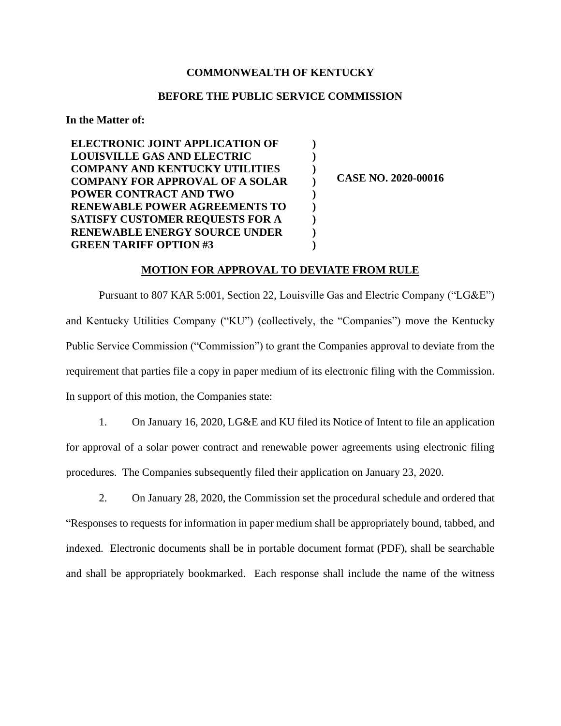## **COMMONWEALTH OF KENTUCKY**

# **BEFORE THE PUBLIC SERVICE COMMISSION**

**) ) ) ) ) ) ) ) )**

#### **In the Matter of:**

**ELECTRONIC JOINT APPLICATION OF LOUISVILLE GAS AND ELECTRIC COMPANY AND KENTUCKY UTILITIES COMPANY FOR APPROVAL OF A SOLAR POWER CONTRACT AND TWO RENEWABLE POWER AGREEMENTS TO SATISFY CUSTOMER REQUESTS FOR A RENEWABLE ENERGY SOURCE UNDER GREEN TARIFF OPTION #3**

**CASE NO. 2020-00016**

## **MOTION FOR APPROVAL TO DEVIATE FROM RULE**

Pursuant to 807 KAR 5:001, Section 22, Louisville Gas and Electric Company ("LG&E") and Kentucky Utilities Company ("KU") (collectively, the "Companies") move the Kentucky Public Service Commission ("Commission") to grant the Companies approval to deviate from the requirement that parties file a copy in paper medium of its electronic filing with the Commission. In support of this motion, the Companies state:

1. On January 16, 2020, LG&E and KU filed its Notice of Intent to file an application for approval of a solar power contract and renewable power agreements using electronic filing procedures. The Companies subsequently filed their application on January 23, 2020.

2. On January 28, 2020, the Commission set the procedural schedule and ordered that "Responses to requests for information in paper medium shall be appropriately bound, tabbed, and indexed. Electronic documents shall be in portable document format (PDF), shall be searchable and shall be appropriately bookmarked. Each response shall include the name of the witness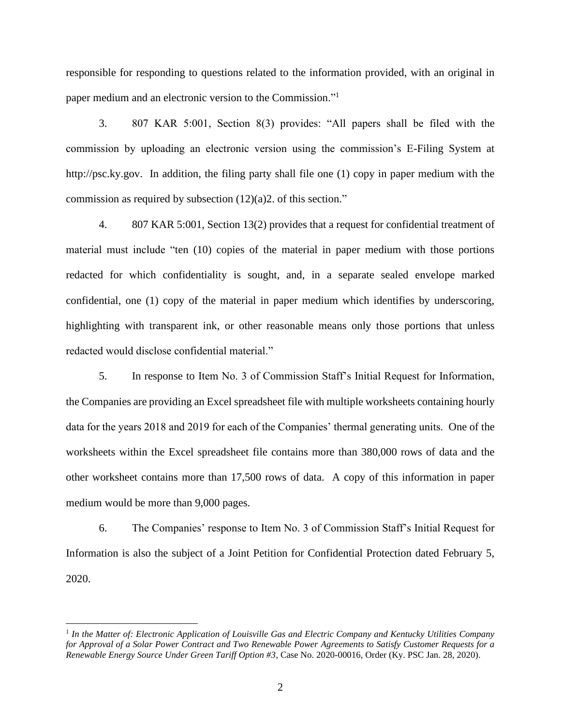responsible for responding to questions related to the information provided, with an original in paper medium and an electronic version to the Commission."<sup>1</sup>

3. 807 KAR 5:001, Section 8(3) provides: "All papers shall be filed with the commission by uploading an electronic version using the commission's E-Filing System at http://psc.ky.gov. In addition, the filing party shall file one (1) copy in paper medium with the commission as required by subsection (12)(a)2. of this section."

4. 807 KAR 5:001, Section 13(2) provides that a request for confidential treatment of material must include "ten (10) copies of the material in paper medium with those portions redacted for which confidentiality is sought, and, in a separate sealed envelope marked confidential, one (1) copy of the material in paper medium which identifies by underscoring, highlighting with transparent ink, or other reasonable means only those portions that unless redacted would disclose confidential material."

5. In response to Item No. 3 of Commission Staff's Initial Request for Information, the Companies are providing an Excel spreadsheet file with multiple worksheets containing hourly data for the years 2018 and 2019 for each of the Companies' thermal generating units. One of the worksheets within the Excel spreadsheet file contains more than 380,000 rows of data and the other worksheet contains more than 17,500 rows of data. A copy of this information in paper medium would be more than 9,000 pages.

6. The Companies' response to Item No. 3 of Commission Staff's Initial Request for Information is also the subject of a Joint Petition for Confidential Protection dated February 5, 2020.

<sup>&</sup>lt;sup>1</sup> In the Matter of: Electronic Application of Louisville Gas and Electric Company and Kentucky Utilities Company *for Approval of a Solar Power Contract and Two Renewable Power Agreements to Satisfy Customer Requests for a Renewable Energy Source Under Green Tariff Option #3*, Case No. 2020-00016, Order (Ky. PSC Jan. 28, 2020).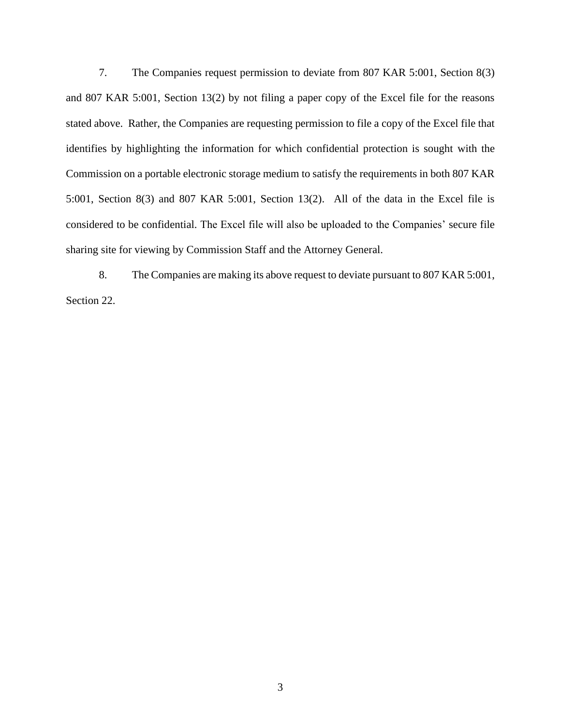7. The Companies request permission to deviate from 807 KAR 5:001, Section 8(3) and 807 KAR 5:001, Section 13(2) by not filing a paper copy of the Excel file for the reasons stated above. Rather, the Companies are requesting permission to file a copy of the Excel file that identifies by highlighting the information for which confidential protection is sought with the Commission on a portable electronic storage medium to satisfy the requirements in both 807 KAR 5:001, Section 8(3) and 807 KAR 5:001, Section 13(2). All of the data in the Excel file is considered to be confidential. The Excel file will also be uploaded to the Companies' secure file sharing site for viewing by Commission Staff and the Attorney General.

8. The Companies are making its above request to deviate pursuant to 807 KAR 5:001, Section 22.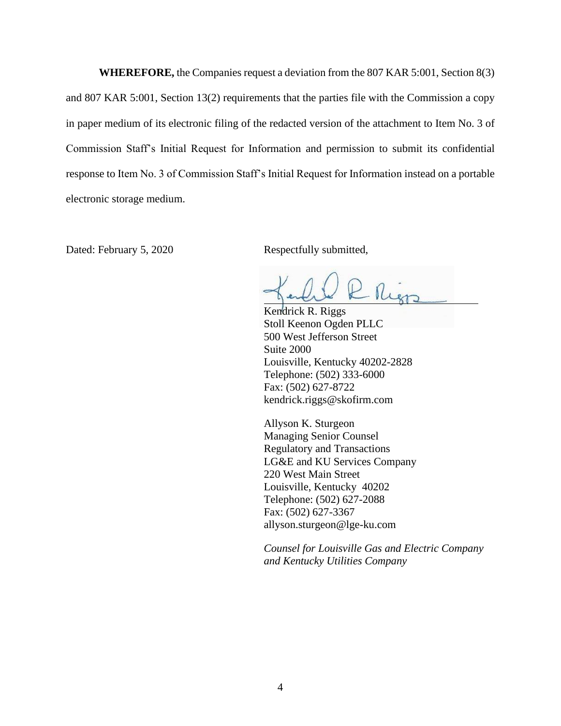**WHEREFORE,** the Companies request a deviation from the 807 KAR 5:001, Section 8(3) and 807 KAR 5:001, Section 13(2) requirements that the parties file with the Commission a copy in paper medium of its electronic filing of the redacted version of the attachment to Item No. 3 of Commission Staff's Initial Request for Information and permission to submit its confidential response to Item No. 3 of Commission Staff's Initial Request for Information instead on a portable electronic storage medium.

Dated: February 5, 2020 Respectfully submitted,

- Rien

Kendrick R. Riggs Stoll Keenon Ogden PLLC 500 West Jefferson Street Suite 2000 Louisville, Kentucky 40202-2828 Telephone: (502) 333-6000 Fax: (502) 627-8722 kendrick.riggs@skofirm.com

Allyson K. Sturgeon Managing Senior Counsel Regulatory and Transactions LG&E and KU Services Company 220 West Main Street Louisville, Kentucky 40202 Telephone: (502) 627-2088 Fax: (502) 627-3367 allyson.sturgeon@lge-ku.com

*Counsel for Louisville Gas and Electric Company and Kentucky Utilities Company*